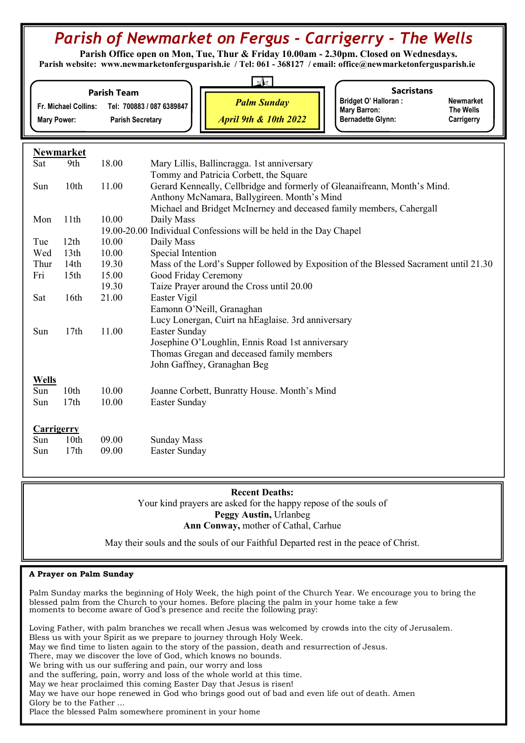# Parish of Newmarket on Fergus - Carrigerry - The Wells

 Parish Office open on Mon, Tue, Thur & Friday 10.00am - 2.30pm. Closed on Wednesdays. Parish website: www.newmarketonfergusparish.ie / Tel: 061 - 368127 / email: office@newmarketonfergusparish.ie

| Fr. Michael Collins:<br><b>Mary Power:</b> |                  | <b>Parish Team</b> | $\mathbb{Z}$<br><b>Sacristans</b><br><b>Bridget O' Halloran:</b><br><b>Newmarket</b><br><b>Palm Sunday</b><br>Tel: 700883 / 087 6389847<br><b>Mary Barron:</b><br><b>The Wells</b><br><b>April 9th &amp; 10th 2022</b><br><b>Bernadette Glynn:</b><br><b>Parish Secretary</b><br>Carrigerry |  |
|--------------------------------------------|------------------|--------------------|---------------------------------------------------------------------------------------------------------------------------------------------------------------------------------------------------------------------------------------------------------------------------------------------|--|
|                                            | <b>Newmarket</b> |                    |                                                                                                                                                                                                                                                                                             |  |
| Sat                                        | 9th              | 18.00              | Mary Lillis, Ballincragga. 1st anniversary                                                                                                                                                                                                                                                  |  |
|                                            |                  |                    | Tommy and Patricia Corbett, the Square                                                                                                                                                                                                                                                      |  |
| Sun                                        | 10th             | 11.00              | Gerard Kenneally, Cellbridge and formerly of Gleanaifreann, Month's Mind.                                                                                                                                                                                                                   |  |
|                                            |                  |                    | Anthony McNamara, Ballygireen. Month's Mind                                                                                                                                                                                                                                                 |  |
|                                            |                  |                    | Michael and Bridget McInerney and deceased family members, Cahergall                                                                                                                                                                                                                        |  |
| Mon                                        | 11th             | 10.00              | Daily Mass                                                                                                                                                                                                                                                                                  |  |
|                                            |                  |                    | 19.00-20.00 Individual Confessions will be held in the Day Chapel                                                                                                                                                                                                                           |  |
| Tue                                        | 12th             | 10.00              | Daily Mass                                                                                                                                                                                                                                                                                  |  |
| Wed                                        | 13 <sup>th</sup> | 10.00              | Special Intention                                                                                                                                                                                                                                                                           |  |
| Thur                                       | 14th             | 19.30              | Mass of the Lord's Supper followed by Exposition of the Blessed Sacrament until 21.30                                                                                                                                                                                                       |  |
| Fri                                        | 15 <sub>th</sub> | 15.00              | Good Friday Ceremony                                                                                                                                                                                                                                                                        |  |
|                                            |                  | 19.30              | Taize Prayer around the Cross until 20.00                                                                                                                                                                                                                                                   |  |
| Sat                                        | 16th             | 21.00              | Easter Vigil                                                                                                                                                                                                                                                                                |  |
|                                            |                  |                    | Eamonn O'Neill, Granaghan                                                                                                                                                                                                                                                                   |  |
|                                            |                  |                    | Lucy Lonergan, Cuirt na hEaglaise. 3rd anniversary                                                                                                                                                                                                                                          |  |
| Sun                                        | 17th             | 11.00              | Easter Sunday                                                                                                                                                                                                                                                                               |  |
|                                            |                  |                    | Josephine O'Loughlin, Ennis Road 1st anniversary                                                                                                                                                                                                                                            |  |
|                                            |                  |                    | Thomas Gregan and deceased family members                                                                                                                                                                                                                                                   |  |
|                                            |                  |                    | John Gaffney, Granaghan Beg                                                                                                                                                                                                                                                                 |  |
| <b>Wells</b>                               |                  |                    |                                                                                                                                                                                                                                                                                             |  |
| Sun                                        | 10th             | 10.00              | Joanne Corbett, Bunratty House. Month's Mind                                                                                                                                                                                                                                                |  |
| Sun                                        | 17th             | 10.00              | Easter Sunday                                                                                                                                                                                                                                                                               |  |
|                                            |                  |                    |                                                                                                                                                                                                                                                                                             |  |
| <b>Carrigerry</b>                          |                  |                    |                                                                                                                                                                                                                                                                                             |  |

#### Sun 10th 09.00 Sunday Mass Sun 17th 09.00 Easter Sunday

# Recent Deaths:

Your kind prayers are asked for the happy repose of the souls of Peggy Austin, Urlanbeg Ann Conway, mother of Cathal, Carhue Ĩ

May their souls and the souls of our Faithful Departed rest in the peace of Christ.

# A Prayer on Palm Sunday

Palm Sunday marks the beginning of Holy Week, the high point of the Church Year. We encourage you to bring the blessed palm from the Church to your homes. Before placing the palm in your home take a few moments to become aware of God's presence and recite the following pray:

Loving Father, with palm branches we recall when Jesus was welcomed by crowds into the city of Jerusalem. Bless us with your Spirit as we prepare to journey through Holy Week. May we find time to listen again to the story of the passion, death and resurrection of Jesus. There, may we discover the love of God, which knows no bounds. We bring with us our suffering and pain, our worry and loss and the suffering, pain, worry and loss of the whole world at this time. May we hear proclaimed this coming Easter Day that Jesus is risen! May we have our hope renewed in God who brings good out of bad and even life out of death. Amen Glory be to the Father ... Place the blessed Palm somewhere prominent in your home